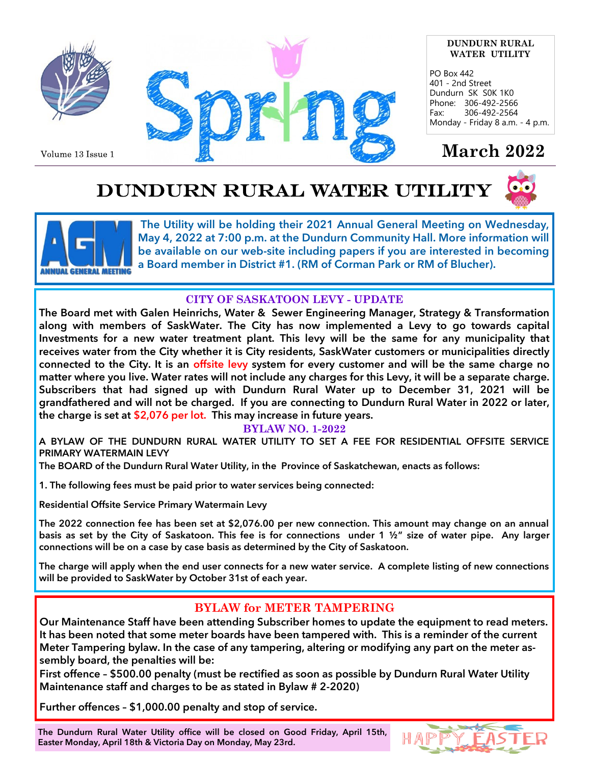

Volume 13 Issue 1



#### **DUNDURN RURAL WATER UTILITY**

PO Box 442 401 - 2nd Street Dundurn SK S0K 1K0 Phone: 306-492-2566 Fax: 306-492-2564 Monday - Friday 8 a.m. - 4 p.m.

## **March 2022**

# DUNDURN RURAL WATER UTILITY





**The Utility will be holding their 2021 Annual General Meeting on Wednesday, May 4, 2022 at 7:00 p.m. at the Dundurn Community Hall. More information will be available on our web-site including papers if you are interested in becoming a Board member in District #1. (RM of Corman Park or RM of Blucher).**

## **CITY OF SASKATOON LEVY - UPDATE**

**The Board met with Galen Heinrichs, Water & Sewer Engineering Manager, Strategy & Transformation along with members of SaskWater. The City has now implemented a Levy to go towards capital Investments for a new water treatment plant. This levy will be the same for any municipality that receives water from the City whether it is City residents, SaskWater customers or municipalities directly connected to the City. It is an offsite levy system for every customer and will be the same charge no matter where you live. Water rates will not include any charges for this Levy, it will be a separate charge. Subscribers that had signed up with Dundurn Rural Water up to December 31, 2021 will be grandfathered and will not be charged. If you are connecting to Dundurn Rural Water in 2022 or later, the charge is set at \$2,076 per lot. This may increase in future years.**

## **BYLAW NO. 1-2022**

**A BYLAW OF THE DUNDURN RURAL WATER UTILITY TO SET A FEE FOR RESIDENTIAL OFFSITE SERVICE PRIMARY WATERMAIN LEVY**

**The BOARD of the Dundurn Rural Water Utility, in the Province of Saskatchewan, enacts as follows:**

**1. The following fees must be paid prior to water services being connected:**

**Residential Offsite Service Primary Watermain Levy** 

**The 2022 connection fee has been set at \$2,076.00 per new connection. This amount may change on an annual basis as set by the City of Saskatoon. This fee is for connections under 1 ½" size of water pipe. Any larger connections will be on a case by case basis as determined by the City of Saskatoon.**

**The charge will apply when the end user connects for a new water service. A complete listing of new connections will be provided to SaskWater by October 31st of each year.**

## **BYLAW for METER TAMPERING**

**Our Maintenance Staff have been attending Subscriber homes to update the equipment to read meters. It has been noted that some meter boards have been tampered with. This is a reminder of the current Meter Tampering bylaw. In the case of any tampering, altering or modifying any part on the meter assembly board, the penalties will be:** 

**First offence – \$500.00 penalty (must be rectified as soon as possible by Dundurn Rural Water Utility Maintenance staff and charges to be as stated in Bylaw # 2-2020)** 

**Further offences – \$1,000.00 penalty and stop of service.**

**The Dundurn Rural Water Utility office will be closed on Good Friday, April 15th, Easter Monday, April 18th & Victoria Day on Monday, May 23rd.**